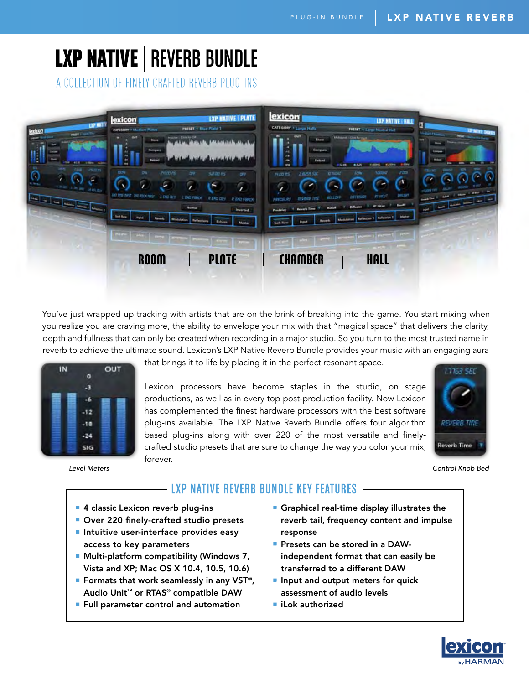# **LXP NATIVE | REVERB BUNDLE**

A COLLECTION OF FINELY CRAFTED REVERB PLUG-INS



You've just wrapped up tracking with artists that are on the brink of breaking into the game. You start mixing when you realize you are craving more, the ability to envelope your mix with that "magical space" that delivers the clarity, depth and fullness that can only be created when recording in a major studio. So you turn to the most trusted name in reverb to achieve the ultimate sound. Lexicon's LXP Native Reverb Bundle provides your music with an engaging aura



*Level Meters*

that brings it to life by placing it in the perfect resonant space.

Lexicon processors have become staples in the studio, on stage productions, as well as in every top post-production facility. Now Lexicon has complemented the finest hardware processors with the best software plug-ins available. The LXP Native Reverb Bundle offers four algorithm based plug-ins along with over 220 of the most versatile and finelycrafted studio presets that are sure to change the way you color your mix, forever.



*Control Knob Bed*

# LXP NATIVE REVERB BUNDLE KEY FEATURES:

- <sup>9</sup> 4 classic Lexicon reverb plug-ins
- **Domark** 220 finely-crafted studio presets
- **Intuitive user-interface provides easy** access to key parameters
- **Multi-platform compatibility (Windows 7,** Vista and XP; Mac OS X 10.4, 10.5, 10.6)
- **P** Formats that work seamlessly in any VST<sup>®</sup>, Audio Unit™ or RTAS® compatible DAW
- **Full parameter control and automation**
- **Graphical real-time display illustrates the** reverb tail, frequency content and impulse response
- **Presets can be stored in a DAW**independent format that can easily be transferred to a different DAW
- **P** Input and output meters for quick assessment of audio levels
- $\blacksquare$  iLok authorized